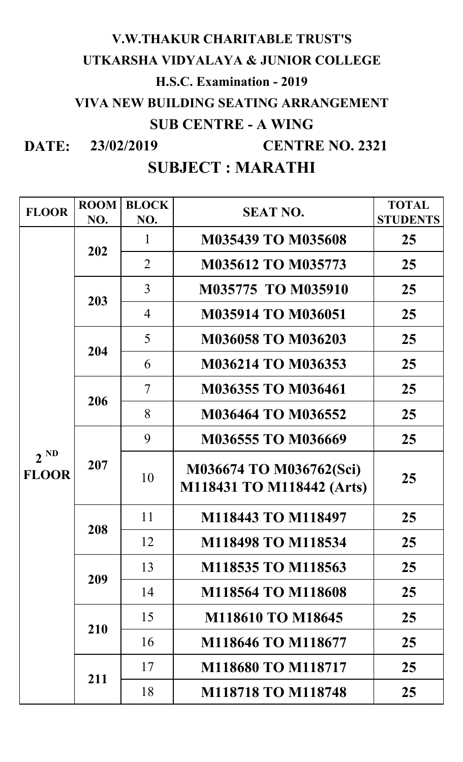# **V.W.THAKUR CHARITABLE TRUST'S UTKARSHA VIDYALAYA & JUNIOR COLLEGE H.S.C. Examination - 2019 VIVA NEW BUILDING SEATING ARRANGEMENT SUB CENTRE - A WING**

**DATE: 23/02/2019**

 **CENTRE NO. 2321**

| <b>FLOOR</b>             | <b>ROOM</b><br>NO. | <b>BLOCK</b><br>NO. | <b>SEAT NO.</b>                                      | <b>TOTAL</b><br><b>STUDENTS</b> |
|--------------------------|--------------------|---------------------|------------------------------------------------------|---------------------------------|
|                          | 202                | 1                   | <b>M035439 TO M035608</b>                            | 25                              |
|                          |                    | $\overline{2}$      | <b>M035612 TO M035773</b>                            | 25                              |
|                          | 203                | $\overline{3}$      | M035775 TO M035910                                   | 25                              |
|                          |                    | $\overline{4}$      | <b>M035914 TO M036051</b>                            | 25                              |
|                          | 204                | 5                   | <b>M036058 TO M036203</b>                            | 25                              |
|                          |                    | 6                   | <b>M036214 TO M036353</b>                            | 25                              |
|                          | 206                | $\overline{7}$      | M036355 TO M036461                                   | 25                              |
|                          |                    | 8                   | <b>M036464 TO M036552</b>                            | 25                              |
|                          | 207                | 9                   | <b>M036555 TO M036669</b>                            | 25                              |
| $2^{ND}$<br><b>FLOOR</b> |                    | 10                  | M036674 TO M036762(Sci)<br>M118431 TO M118442 (Arts) | 25                              |
|                          | 208                | 11                  | M118443 TO M118497                                   | 25                              |
|                          |                    | 12                  | M118498 TO M118534                                   | 25                              |
|                          | 209                | 13                  | M118535 TO M118563                                   | 25                              |
|                          |                    | 14                  | <b>M118564 TO M118608</b>                            | 25                              |
|                          | 210                | 15                  | <b>M118610 TO M18645</b>                             | 25                              |
|                          |                    | 16                  | M118646 TO M118677                                   | 25                              |
|                          | 211                | 17                  | M118680 TO M118717                                   | 25                              |
|                          |                    | 18                  | <b>M118718 TO M118748</b>                            | 25 <sub>1</sub>                 |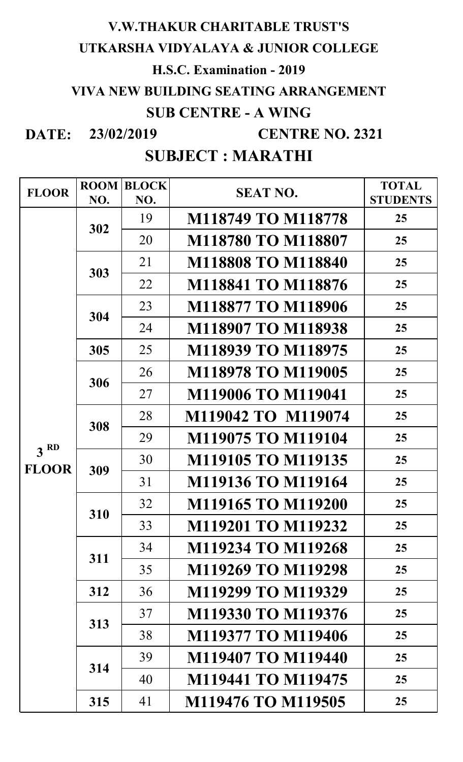#### **V.W.THAKUR CHARITABLE TRUST'S**

#### **UTKARSHA VIDYALAYA & JUNIOR COLLEGE**

## **H.S.C. Examination - 2019**

# **VIVA NEW BUILDING SEATING ARRANGEMENT**

## **SUB CENTRE - A WING**

**DATE: 23/02/2019**

 **CENTRE NO. 2321**

| <b>FLOOR</b>    | <b>ROOM</b><br>NO. | <b>BLOCK</b><br>NO. | <b>SEAT NO.</b>           | <b>TOTAL</b><br><b>STUDENTS</b> |
|-----------------|--------------------|---------------------|---------------------------|---------------------------------|
|                 | 302                | 19                  | M118749 TO M118778        | 25                              |
|                 |                    | 20                  | M118780 TO M118807        | 25                              |
|                 | 303                | 21                  | <b>M118808 TO M118840</b> | 25                              |
|                 |                    | 22                  | <b>M118841 TO M118876</b> | 25                              |
|                 | 304                | 23                  | M118877 TO M118906        | 25                              |
|                 |                    | 24                  | M118907 TO M118938        | 25                              |
|                 | 305                | 25                  | M118939 TO M118975        | 25                              |
|                 | 306                | 26                  | M118978 TO M119005        | 25                              |
|                 |                    | 27                  | <b>M119006 TO M119041</b> | 25                              |
|                 | 308                | 28                  | M119042 TO M119074        | 25                              |
| 3 <sup>RD</sup> |                    | 29                  | M119075 TO M119104        | 25                              |
| <b>FLOOR</b>    | 309                | 30                  | M119105 TO M119135        | 25                              |
|                 |                    | 31                  | M119136 TO M119164        | 25                              |
|                 | 310                | 32                  | M119165 TO M119200        | 25                              |
|                 |                    | 33                  | M119201 TO M119232        | 25                              |
|                 | 311                | 34                  | M119234 TO M119268        | 25                              |
|                 |                    | 35                  | M119269 TO M119298        | 25                              |
|                 | 312                | 36                  | M119299 TO M119329        | 25                              |
|                 | 313                | 37                  | M119330 TO M119376        | 25                              |
|                 |                    | 38                  | M119377 TO M119406        | 25                              |
|                 | 314                | 39                  | <b>M119407 TO M119440</b> | 25                              |
|                 |                    | 40                  | M119441 TO M119475        | 25                              |
|                 | 315                | 41                  | M119476 TO M119505        | 25                              |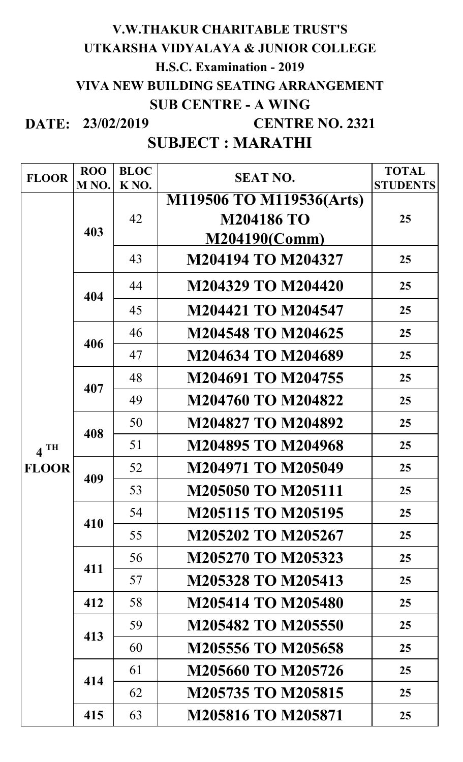#### **DATE: 23/02/2019 V.W.THAKUR CHARITABLE TRUST'S UTKARSHA VIDYALAYA & JUNIOR COLLEGE H.S.C. Examination - 2019 VIVA NEW BUILDING SEATING ARRANGEMENT SUB CENTRE - A WING CENTRE NO. 2321**

| <b>FLOOR</b>      | <b>ROO</b>        | <b>BLOC</b>       | <b>SEAT NO.</b>           | <b>TOTAL</b>    |
|-------------------|-------------------|-------------------|---------------------------|-----------------|
|                   | M <sub>NO</sub> . | K <sub>NO</sub> . |                           | <b>STUDENTS</b> |
|                   | 403               | 42                | M119506 TO M119536(Arts)  |                 |
|                   |                   |                   | <b>M204186 TO</b>         | 25              |
|                   |                   |                   | <b>M204190(Comm)</b>      |                 |
|                   |                   | 43                | <b>M204194 TO M204327</b> | 25              |
|                   | 404               | 44                | M204329 TO M204420        | 25              |
|                   |                   | 45                | <b>M204421 TO M204547</b> | 25              |
|                   | 406               | 46                | <b>M204548 TO M204625</b> | 25              |
|                   |                   | 47                | <b>M204634 TO M204689</b> | 25              |
|                   | 407               | 48                | M204691 TO M204755        | 25              |
|                   |                   | 49                | <b>M204760 TO M204822</b> | 25              |
|                   | 408               | 50                | <b>M204827 TO M204892</b> | 25              |
| $4$ <sup>TH</sup> |                   | 51                | <b>M204895 TO M204968</b> | 25              |
| <b>FLOOR</b>      | 409               | 52                | <b>M204971 TO M205049</b> | 25              |
|                   |                   | 53                | <b>M205050 TO M205111</b> | 25              |
|                   | 410               | 54                | <b>M205115 TO M205195</b> | 25              |
|                   |                   | 55                | M205202 TO M205267        | 25              |
|                   | 411               | 56                | M205270 TO M205323        | 25              |
|                   |                   | 57                | <b>M205328 TO M205413</b> | 25              |
|                   | 412               | 58                | <b>M205414 TO M205480</b> | 25              |
|                   | 413               | 59                | M205482 TO M205550        | 25              |
|                   |                   | 60                | M205556 TO M205658        | 25              |
|                   | 414               | 61                | M205660 TO M205726        | 25              |
|                   |                   | 62                | <b>M205735 TO M205815</b> | 25              |
|                   | 415               | 63                | <b>M205816 TO M205871</b> | 25              |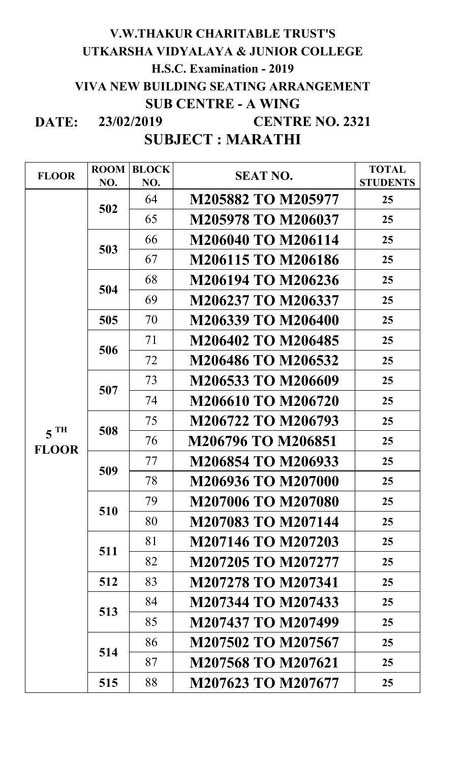#### **DATE: 23/02/2019 SUBJECT : MARATHI V.W.THAKUR CHARITABLE TRUST'S UTKARSHA VIDYALAYA & JUNIOR COLLEGE H.S.C. Examination - 2019 VIVA NEW BUILDING SEATING ARRANGEMENT SUB CENTRE - A WING CENTRE NO. 2321**

| <b>FLOOR</b>    | <b>ROOM</b><br>NO. | <b>BLOCK</b><br>NO. | <b>SEAT NO.</b>           | <b>TOTAL</b><br><b>STUDENTS</b> |
|-----------------|--------------------|---------------------|---------------------------|---------------------------------|
|                 | 502                | 64                  | M205882 TO M205977        | 25                              |
|                 |                    | 65                  | M205978 TO M206037        | 25                              |
|                 | 503<br>504         | 66                  | M206040 TO M206114        |                                 |
|                 |                    |                     |                           | 25                              |
|                 |                    | 67                  | <b>M206115 TO M206186</b> | 25                              |
|                 |                    | 68                  | M206194 TO M206236        | 25                              |
|                 |                    | 69                  | M206237 TO M206337        | 25                              |
|                 | 505                | 70                  | M206339 TO M206400        | 25                              |
|                 | 506                | 71                  | M206402 TO M206485        | 25                              |
|                 |                    | 72                  | M206486 TO M206532        | 25                              |
|                 | 507                | 73                  | M206533 TO M206609        | 25                              |
|                 |                    | 74                  | <b>M206610 TO M206720</b> | 25                              |
|                 |                    | 75                  | M206722 TO M206793        | 25                              |
| 5 <sup>TH</sup> | 508                | 76                  | M206796 TO M206851        | 25                              |
| <b>FLOOR</b>    | 509                | 77                  | M206854 TO M206933        | 25                              |
|                 |                    | 78                  | M206936 TO M207000        | 25                              |
|                 | 510                | 79                  | M207006 TO M207080        | 25                              |
|                 |                    | 80                  | M207083 TO M207144        | 25                              |
|                 | 511                | 81                  | M207146 TO M207203        | 25                              |
|                 |                    | 82                  | M207205 TO M207277        | 25                              |
|                 | 512                | 83                  | <b>M207278 TO M207341</b> | 25                              |
|                 | 513                | 84                  | M207344 TO M207433        | 25                              |
|                 |                    | 85                  | M207437 TO M207499        | 25                              |
|                 | 514                | 86                  | M207502 TO M207567        | 25                              |
|                 |                    | 87                  | M207568 TO M207621        | 25                              |
|                 |                    | 88                  |                           |                                 |
|                 | 515                |                     | M207623 TO M207677        | 25                              |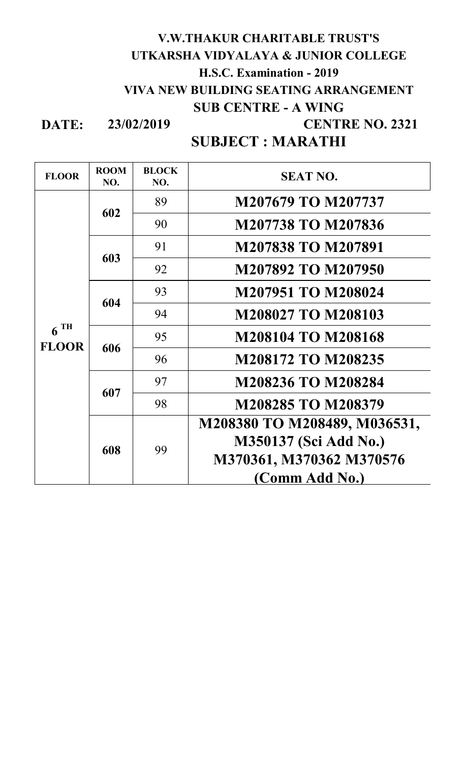#### **V.W.THAKUR CHARITABLE TRUST'S UTKARSHA VIDYALAYA & JUNIOR COLLEGE H.S.C. Examination - 2019 VIVA NEW BUILDING SEATING ARRANGEMENT SUB CENTRE - A WING CENTRE NO. 2321**

**DATE: 23/02/2019**

| <b>FLOOR</b>                      | <b>ROOM</b><br>NO. | <b>BLOCK</b><br>NO. | <b>SEAT NO.</b>              |
|-----------------------------------|--------------------|---------------------|------------------------------|
| $6$ <sup>TH</sup><br><b>FLOOR</b> | 602                | 89                  | M207679 TO M207737           |
|                                   |                    | 90                  | M207738 TO M207836           |
|                                   | 603                | 91                  | <b>M207838 TO M207891</b>    |
|                                   |                    | 92                  | M207892 TO M207950           |
|                                   | 604                | 93                  | <b>M207951 TO M208024</b>    |
|                                   |                    | 94                  | <b>M208027 TO M208103</b>    |
|                                   | 606                | 95                  | <b>M208104 TO M208168</b>    |
|                                   |                    | 96                  | <b>M208172 TO M208235</b>    |
|                                   | 607                | 97                  | <b>M208236 TO M208284</b>    |
|                                   |                    | 98                  | <b>M208285 TO M208379</b>    |
|                                   | 608                | 99                  | M208380 TO M208489, M036531, |
|                                   |                    |                     | M350137 (Sci Add No.)        |
|                                   |                    |                     | M370361, M370362 M370576     |
|                                   |                    |                     | (Comm Add No.)               |